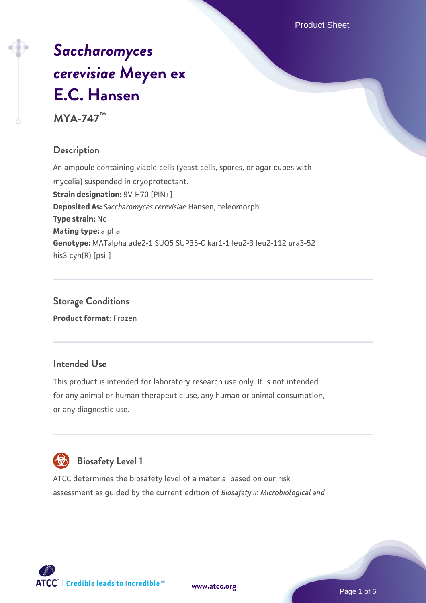# *[Saccharomyces](https://www.atcc.org/products/mya-747) [cerevisiae](https://www.atcc.org/products/mya-747)* **[Meyen ex](https://www.atcc.org/products/mya-747) [E.C. Hansen](https://www.atcc.org/products/mya-747)**

**MYA-747™**

### **Description**

An ampoule containing viable cells (yeast cells, spores, or agar cubes with mycelia) suspended in cryoprotectant. **Strain designation: 9V-H70 [PIN+] Deposited As:** *Saccharomyces cerevisiae* Hansen, teleomorph **Type strain:** No **Mating type:** alpha **Genotype:** MATalpha ade2-1 SUQ5 SUP35-C kar1-1 leu2-3 leu2-112 ura3-52 his3 cyh(R) [psi-]

**Storage Conditions Product format:** Frozen

### **Intended Use**

This product is intended for laboratory research use only. It is not intended for any animal or human therapeutic use, any human or animal consumption, or any diagnostic use.



### **Biosafety Level 1**

ATCC determines the biosafety level of a material based on our risk assessment as guided by the current edition of *Biosafety in Microbiological and*



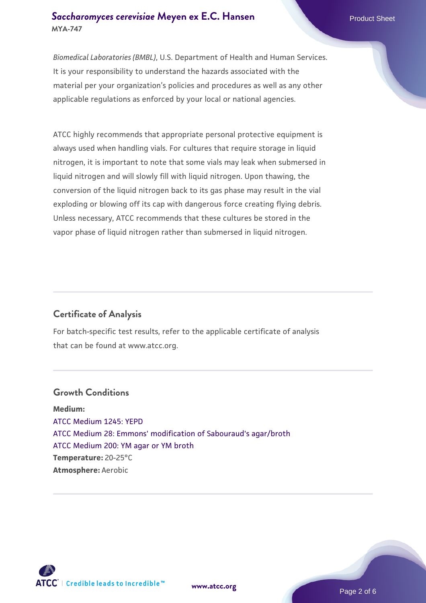### **[Saccharomyces cerevisiae](https://www.atcc.org/products/mya-747)** [Meyen ex E.C. Hansen](https://www.atcc.org/products/mya-747) **MYA-747**

*Biomedical Laboratories (BMBL)*, U.S. Department of Health and Human Services. It is your responsibility to understand the hazards associated with the material per your organization's policies and procedures as well as any other applicable regulations as enforced by your local or national agencies.

ATCC highly recommends that appropriate personal protective equipment is always used when handling vials. For cultures that require storage in liquid nitrogen, it is important to note that some vials may leak when submersed in liquid nitrogen and will slowly fill with liquid nitrogen. Upon thawing, the conversion of the liquid nitrogen back to its gas phase may result in the vial exploding or blowing off its cap with dangerous force creating flying debris. Unless necessary, ATCC recommends that these cultures be stored in the vapor phase of liquid nitrogen rather than submersed in liquid nitrogen.

### **Certificate of Analysis**

For batch-specific test results, refer to the applicable certificate of analysis that can be found at www.atcc.org.

### **Growth Conditions**

**Medium:**  [ATCC Medium 1245: YEPD](https://www.atcc.org/-/media/product-assets/documents/microbial-media-formulations/1/2/4/5/atcc-medium-1245.pdf?rev=705ca55d1b6f490a808a965d5c072196) [ATCC Medium 28: Emmons' modification of Sabouraud's agar/broth](https://www.atcc.org/-/media/product-assets/documents/microbial-media-formulations/2/8/atcc-medium-28.pdf?rev=0da0c58cc2a343eeae735016b70809bb) [ATCC Medium 200: YM agar or YM broth](https://www.atcc.org/-/media/product-assets/documents/microbial-media-formulations/2/0/0/atcc-medium-200.pdf?rev=ac40fd74dc13433a809367b0b9da30fc) **Temperature:** 20-25°C **Atmosphere:** Aerobic



**[www.atcc.org](http://www.atcc.org)**

Page 2 of 6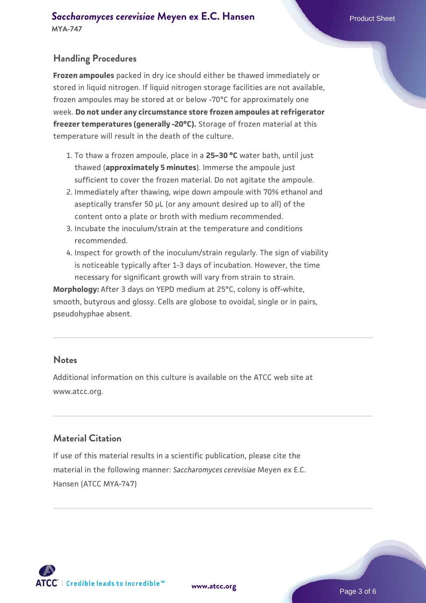### **Handling Procedures**

**Frozen ampoules** packed in dry ice should either be thawed immediately or stored in liquid nitrogen. If liquid nitrogen storage facilities are not available, frozen ampoules may be stored at or below -70°C for approximately one week. **Do not under any circumstance store frozen ampoules at refrigerator freezer temperatures (generally -20°C).** Storage of frozen material at this temperature will result in the death of the culture.

- To thaw a frozen ampoule, place in a **25–30 °C** water bath, until just 1. thawed (**approximately 5 minutes**). Immerse the ampoule just sufficient to cover the frozen material. Do not agitate the ampoule.
- 2. Immediately after thawing, wipe down ampoule with 70% ethanol and aseptically transfer 50 µL (or any amount desired up to all) of the content onto a plate or broth with medium recommended.
- Incubate the inoculum/strain at the temperature and conditions 3. recommended.
- 4. Inspect for growth of the inoculum/strain regularly. The sign of viability is noticeable typically after 1-3 days of incubation. However, the time necessary for significant growth will vary from strain to strain.

**Morphology:** After 3 days on YEPD medium at 25°C, colony is off-white, smooth, butyrous and glossy. Cells are globose to ovoidal, single or in pairs, pseudohyphae absent.

### **Notes**

Additional information on this culture is available on the ATCC web site at www.atcc.org.

### **Material Citation**

If use of this material results in a scientific publication, please cite the material in the following manner: *Saccharomyces cerevisiae* Meyen ex E.C. Hansen (ATCC MYA-747)

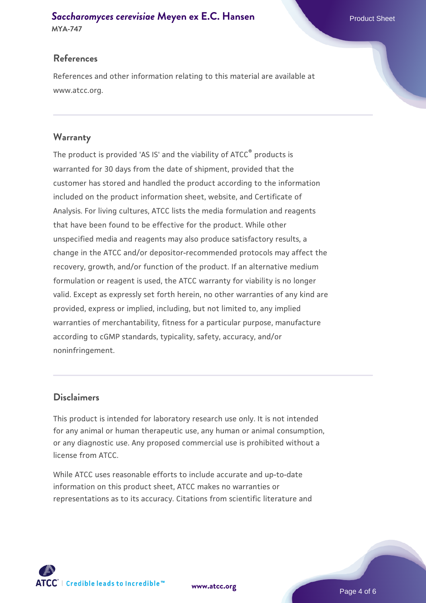## **[Saccharomyces cerevisiae](https://www.atcc.org/products/mya-747)** [Meyen ex E.C. Hansen](https://www.atcc.org/products/mya-747)

**MYA-747**

### **References**

References and other information relating to this material are available at www.atcc.org.

### **Warranty**

The product is provided 'AS IS' and the viability of ATCC® products is warranted for 30 days from the date of shipment, provided that the customer has stored and handled the product according to the information included on the product information sheet, website, and Certificate of Analysis. For living cultures, ATCC lists the media formulation and reagents that have been found to be effective for the product. While other unspecified media and reagents may also produce satisfactory results, a change in the ATCC and/or depositor-recommended protocols may affect the recovery, growth, and/or function of the product. If an alternative medium formulation or reagent is used, the ATCC warranty for viability is no longer valid. Except as expressly set forth herein, no other warranties of any kind are provided, express or implied, including, but not limited to, any implied warranties of merchantability, fitness for a particular purpose, manufacture according to cGMP standards, typicality, safety, accuracy, and/or noninfringement.

### **Disclaimers**

This product is intended for laboratory research use only. It is not intended for any animal or human therapeutic use, any human or animal consumption, or any diagnostic use. Any proposed commercial use is prohibited without a license from ATCC.

While ATCC uses reasonable efforts to include accurate and up-to-date information on this product sheet, ATCC makes no warranties or representations as to its accuracy. Citations from scientific literature and

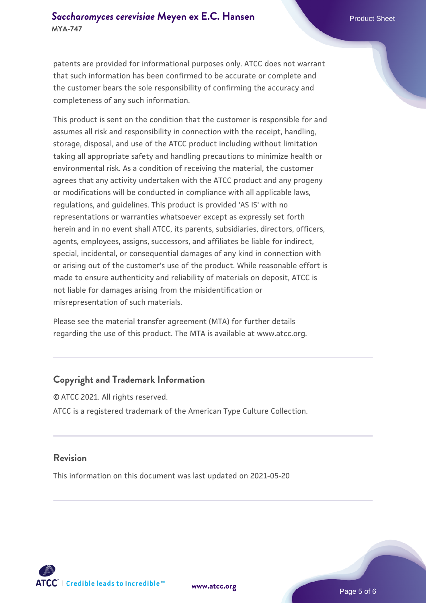### **[Saccharomyces cerevisiae](https://www.atcc.org/products/mya-747)** [Meyen ex E.C. Hansen](https://www.atcc.org/products/mya-747) **MYA-747**

patents are provided for informational purposes only. ATCC does not warrant that such information has been confirmed to be accurate or complete and the customer bears the sole responsibility of confirming the accuracy and completeness of any such information.

This product is sent on the condition that the customer is responsible for and assumes all risk and responsibility in connection with the receipt, handling, storage, disposal, and use of the ATCC product including without limitation taking all appropriate safety and handling precautions to minimize health or environmental risk. As a condition of receiving the material, the customer agrees that any activity undertaken with the ATCC product and any progeny or modifications will be conducted in compliance with all applicable laws, regulations, and guidelines. This product is provided 'AS IS' with no representations or warranties whatsoever except as expressly set forth herein and in no event shall ATCC, its parents, subsidiaries, directors, officers, agents, employees, assigns, successors, and affiliates be liable for indirect, special, incidental, or consequential damages of any kind in connection with or arising out of the customer's use of the product. While reasonable effort is made to ensure authenticity and reliability of materials on deposit, ATCC is not liable for damages arising from the misidentification or misrepresentation of such materials.

Please see the material transfer agreement (MTA) for further details regarding the use of this product. The MTA is available at www.atcc.org.

### **Copyright and Trademark Information**

© ATCC 2021. All rights reserved. ATCC is a registered trademark of the American Type Culture Collection.

### **Revision**

This information on this document was last updated on 2021-05-20



**[www.atcc.org](http://www.atcc.org)**